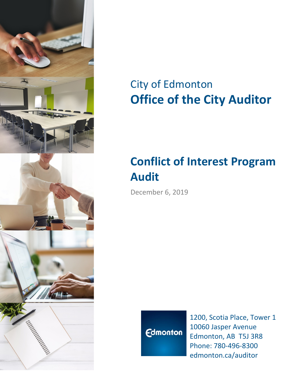

# City of Edmonton **Office of the City Auditor**

# **Conflict of Interest Program Audit**

December 6, 2019



1200, Scotia Place, Tower 1 10060 Jasper Avenue Edmonton, AB T5J 3R8 Phone: 780-496-8300 edmonton.ca/auditor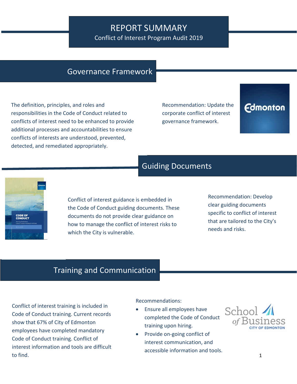## REPORT SUMMARY

Conflict of Interest Program Audit 2019

## Governance Framework

The definition, principles, and roles and responsibilities in the Code of Conduct related to conflicts of interest need to be enhanced to provide additional processes and accountabilities to ensure conflicts of interests are understood, prevented, detected, and remediated appropriately.

Recommendation: Update the corporate conflict of interest governance framework.

## **Edmonton**

## Guiding Documents



Conflict of interest guidance is embedded in the Code of Conduct guiding documents. These documents do not provide clear guidance on how to manage the conflict of interest risks to which the City is vulnerable.

Recommendation: Develop clear guiding documents specific to conflict of interest that are tailored to the City's needs and risks.

## Training and Communication

Conflict of interest training is included in Code of Conduct training. Current records show that 67% of City of Edmonton employees have completed mandatory Code of Conduct training. Conflict of interest information and tools are difficult to find.

Recommendations:

- Ensure all employees have completed the Code of Conduct training upon hiring.
- Provide on-going conflict of interest communication, and accessible information and tools.

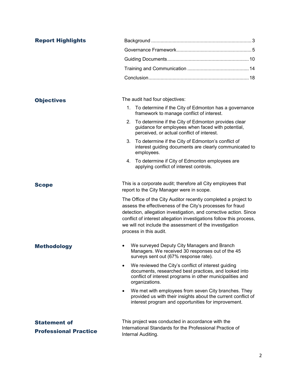| <b>Report Highlights</b>                            |                                                                                                                                                                                                                                                                                                                                                               |
|-----------------------------------------------------|---------------------------------------------------------------------------------------------------------------------------------------------------------------------------------------------------------------------------------------------------------------------------------------------------------------------------------------------------------------|
|                                                     |                                                                                                                                                                                                                                                                                                                                                               |
|                                                     |                                                                                                                                                                                                                                                                                                                                                               |
|                                                     |                                                                                                                                                                                                                                                                                                                                                               |
|                                                     |                                                                                                                                                                                                                                                                                                                                                               |
|                                                     |                                                                                                                                                                                                                                                                                                                                                               |
| <b>Objectives</b>                                   | The audit had four objectives:                                                                                                                                                                                                                                                                                                                                |
|                                                     | To determine if the City of Edmonton has a governance<br>1.<br>framework to manage conflict of interest.                                                                                                                                                                                                                                                      |
|                                                     | To determine if the City of Edmonton provides clear<br>2.<br>guidance for employees when faced with potential,<br>perceived, or actual conflict of interest.                                                                                                                                                                                                  |
|                                                     | To determine if the City of Edmonton's conflict of<br>3.<br>interest guiding documents are clearly communicated to<br>employees.                                                                                                                                                                                                                              |
|                                                     | 4. To determine if City of Edmonton employees are<br>applying conflict of interest controls.                                                                                                                                                                                                                                                                  |
| <b>Scope</b>                                        | This is a corporate audit; therefore all City employees that<br>report to the City Manager were in scope.                                                                                                                                                                                                                                                     |
|                                                     | The Office of the City Auditor recently completed a project to<br>assess the effectiveness of the City's processes for fraud<br>detection, allegation investigation, and corrective action. Since<br>conflict of interest allegation investigations follow this process,<br>we will not include the assessment of the investigation<br>process in this audit. |
| <b>Methodology</b>                                  | We surveyed Deputy City Managers and Branch<br>Managers. We received 30 responses out of the 45<br>surveys sent out (67% response rate).                                                                                                                                                                                                                      |
|                                                     | We reviewed the City's conflict of interest guiding<br>documents, researched best practices, and looked into<br>conflict of interest programs in other municipalities and<br>organizations.                                                                                                                                                                   |
|                                                     | We met with employees from seven City branches. They<br>$\bullet$<br>provided us with their insights about the current conflict of<br>interest program and opportunities for improvement.                                                                                                                                                                     |
| <b>Statement of</b><br><b>Professional Practice</b> | This project was conducted in accordance with the<br>International Standards for the Professional Practice of<br>Internal Auditing.                                                                                                                                                                                                                           |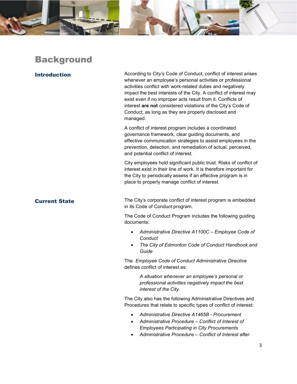

## **Background**

Introduction **According to City's Code of Conduct, conflict of interest arises** whenever an employee's personal activities or professional activities conflict with work-related duties and negatively impact the best interests of the City. A conflict of interest may exist even if no improper acts result from it. Conflicts of interest **are not** considered violations of the City's Code of Conduct, as long as they are properly disclosed and managed.

> A conflict of interest program includes a coordinated governance framework, clear guiding documents, and effective communication strategies to assist employees in the prevention, detection, and remediation of actual, perceived, and potential conflict of interest.

City employees hold significant public trust. Risks of conflict of interest exist in their line of work. It is therefore important for the City to periodically assess if an effective program is in place to properly manage conflict of interest.

**Current State** The City's corporate conflict of interest program is embedded in its Code of Conduct program.

> The Code of Conduct Program includes the following guiding documents:

- *Administrative Directive A1100C – Employee Code of Conduct*
- *The City of Edmonton Code of Conduct Handbook and Guide*

The *Employee Code of Conduct Administrative Directive* defines conflict of interest as:

> *A situation whenever an employee's personal or professional activities negatively impact the best interest of the City*.

The City also has the following Administrative Directives and Procedures that relate to specific types of conflict of interest:

- *Administrative Directive A1465B - Procurement*
- *Administrative Procedure – Conflict of Interest of Employees Participating in City Procurements*
- *Administrative Procedure – Conflict of Interest after*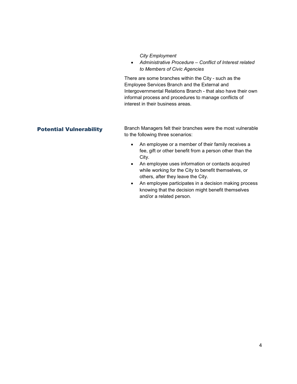### *City Employment*

• *Administrative Procedure – Conflict of Interest related to Members of Civic Agencies*

There are some branches within the City - such as the Employee Services Branch and the External and Intergovernmental Relations Branch - that also have their own informal process and procedures to manage conflicts of interest in their business areas.

**Potential Vulnerability** Branch Managers felt their branches were the most vulnerable to the following three scenarios:

- An employee or a member of their family receives a fee, gift or other benefit from a person other than the City.
- An employee uses information or contacts acquired while working for the City to benefit themselves, or others, after they leave the City.
- An employee participates in a decision making process knowing that the decision might benefit themselves and/or a related person.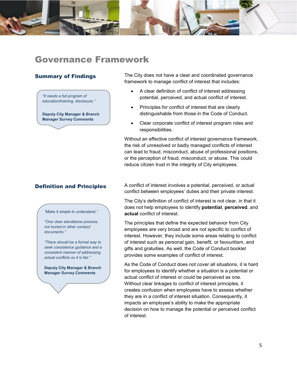

## Governance Framework

*"It needs a full program of education/training, disclosure."*

**Deputy City Manager & Branch Manager Survey Comments**

**Summary of Findings** The City does not have a clear and coordinated governance framework to manage conflict of interest that includes:

- A clear definition of conflict of interest addressing potential, perceived, and actual conflict of interest.
- Principles for conflict of interest that are clearly distinguishable from those in the Code of Conduct.
- Clear corporate conflict of interest program roles and responsibilities.

Without an effective conflict of interest governance framework, the risk of unresolved or badly managed conflicts of interest can lead to fraud, misconduct, abuse of professional positions, or the perception of fraud, misconduct, or abuse. This could reduce citizen trust in the integrity of City employees.

*"Make it simple to understand."*

*"One clear standalone process, not buried in other conduct documents."* 

*"There should be a formal way to seek consistence guidance and a consistent manner of addressing actual conflicts so it is fair."*

**Deputy City Manager & Branch Manager Survey Comments**

**Definition and Principles** A conflict of interest involves a potential, perceived, or actual conflict between employees' duties and their private interest.

> The City's definition of conflict of interest is not clear, in that it does not help employees to identify **potential**, **perceived**, and **actual** conflict of interest.

> The principles that define the expected behavior from City employees are very broad and are not specific to conflict of interest. However, they include some areas relating to conflict of interest such as personal gain, benefit, or favouritism, and gifts and gratuities. As well, the Code of Conduct booklet provides some examples of conflict of interest.

As the Code of Conduct does not cover all situations, it is hard for employees to identify whether a situation is a potential or actual conflict of interest or could be perceived as one. Without clear linkages to conflict of interest principles, it creates confusion when employees have to assess whether they are in a conflict of interest situation. Consequently, it impacts an employee's ability to make the appropriate decision on how to manage the potential or perceived conflict of interest.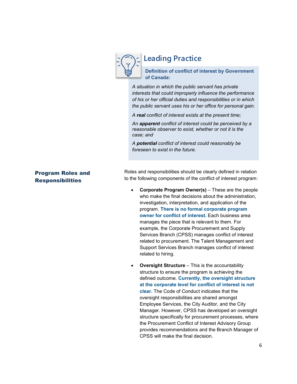

## **Leading Practice**

**Definition of conflict of interest by Government of Canada:**

*A situation in which the public servant has private interests that could improperly influence the performance of his or her official duties and responsibilities or in which the public servant uses his or her office for personal gain.*

*A real conflict of interest exists at the present time;*

*An apparent conflict of interest could be perceived by a reasonable observer to exist, whether or not it is the case; and*

*A potential conflict of interest could reasonably be foreseen to exist in the future.*

### Program Roles and Responsibilities

Roles and responsibilities should be clearly defined in relation to the following components of the conflict of interest program:

- **Corporate Program Owner(s)** These are the people who make the final decisions about the administration. investigation, interpretation, and application of the program. **There is no formal corporate program owner for conflict of interest.** Each business area manages the piece that is relevant to them. For example, the Corporate Procurement and Supply Services Branch (CPSS) manages conflict of interest related to procurement. The Talent Management and Support Services Branch manages conflict of interest related to hiring.
- **Oversight Structure** This is the accountability structure to ensure the program is achieving the defined outcome. **Currently, the oversight structure at the corporate level for conflict of interest is not clear.** The Code of Conduct indicates that the oversight responsibilities are shared amongst Employee Services, the City Auditor, and the City Manager. However, CPSS has developed an oversight structure specifically for procurement processes, where the Procurement Conflict of Interest Advisory Group provides recommendations and the Branch Manager of CPSS will make the final decision.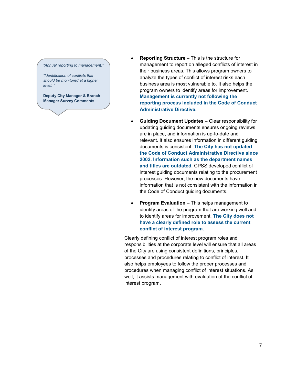*"Annual reporting to management."*

*"Identification of conflicts that should be monitored at a higher level. "*

**Deputy City Manager & Branch Manager Survey Comments**

- **Reporting Structure** This is the structure for management to report on alleged conflicts of interest in their business areas. This allows program owners to analyze the types of conflict of interest risks each business area is most vulnerable to. It also helps the program owners to identify areas for improvement. **Management is currently not following the reporting process included in the Code of Conduct Administrative Directive.**
- **Guiding Document Updates** Clear responsibility for updating guiding documents ensures ongoing reviews are in place, and information is up-to-date and relevant. It also ensures information in different guiding documents is consistent. **The City has not updated the Code of Conduct Administrative Directive since 2002. Information such as the department names and titles are outdated.** CPSS developed conflict of interest guiding documents relating to the procurement processes. However, the new documents have information that is not consistent with the information in the Code of Conduct guiding documents.
- **Program Evaluation** This helps management to identify areas of the program that are working well and to identify areas for improvement. **The City does not have a clearly defined role to assess the current conflict of interest program.**

Clearly defining conflict of interest program roles and responsibilities at the corporate level will ensure that all areas of the City are using consistent definitions, principles, processes and procedures relating to conflict of interest. It also helps employees to follow the proper processes and procedures when managing conflict of interest situations. As well, it assists management with evaluation of the conflict of interest program.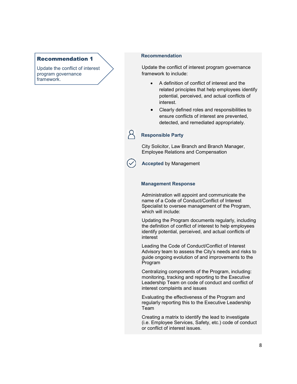### Recommendation 1

Update the conflict of interest program governance framework.

### **Recommendation**

Update the conflict of interest program governance framework to include:

- A definition of conflict of interest and the related principles that help employees identify potential, perceived, and actual conflicts of interest.
- Clearly defined roles and responsibilities to ensure conflicts of interest are prevented, detected, and remediated appropriately.

### **Responsible Party**

City Solicitor, Law Branch and Branch Manager, Employee Relations and Compensation

**Accepted** by Management

### **Management Response**

Administration will appoint and communicate the name of a Code of Conduct/Conflict of Interest Specialist to oversee management of the Program, which will include:

Updating the Program documents regularly, including the definition of conflict of interest to help employees identify potential, perceived, and actual conflicts of interest

Leading the Code of Conduct/Conflict of Interest Advisory team to assess the City's needs and risks to guide ongoing evolution of and improvements to the Program

Centralizing components of the Program, including: monitoring, tracking and reporting to the Executive Leadership Team on code of conduct and conflict of interest complaints and issues

Evaluating the effectiveness of the Program and regularly reporting this to the Executive Leadership Team

Creating a matrix to identify the lead to investigate (i.e. Employee Services, Safety, etc.) code of conduct or conflict of interest issues.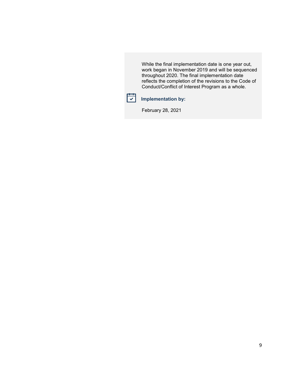While the final implementation date is one year out, work began in November 2019 and will be sequenced throughout 2020. The final implementation date reflects the completion of the revisions to the Code of Conduct/Conflict of Interest Program as a whole.



### **Implementation by:**

February 28, 2021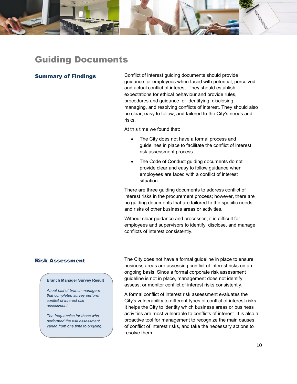

## Guiding Documents

**Summary of Findings** Conflict of interest guiding documents should provide guidance for employees when faced with potential, perceived, and actual conflict of interest. They should establish expectations for ethical behaviour and provide rules, procedures and guidance for identifying, disclosing, managing, and resolving conflicts of interest. They should also be clear, easy to follow, and tailored to the City's needs and risks.

At this time we found that:

- The City does not have a formal process and guidelines in place to facilitate the conflict of interest risk assessment process.
- The Code of Conduct quiding documents do not provide clear and easy to follow guidance when employees are faced with a conflict of interest situation.

There are three guiding documents to address conflict of interest risks in the procurement process; however, there are no guiding documents that are tailored to the specific needs and risks of other business areas or activities.

Without clear guidance and processes, it is difficult for employees and supervisors to identify, disclose, and manage conflicts of interest consistently.

### **Branch Manager Survey Result**

*About half of branch managers that completed survey perform conflict of interest risk assessment.* 

*The frequencies for those who performed the risk assessment varied from one time to ongoing.* 

**Risk Assessment** The City does not have a formal guideline in place to ensure business areas are assessing conflict of interest risks on an ongoing basis. Since a formal corporate risk assessment guideline is not in place, management does not identify, assess, or monitor conflict of interest risks consistently.

> A formal conflict of interest risk assessment evaluates the City's vulnerability to different types of conflict of interest risks. It helps the City to identity which business areas or business activities are most vulnerable to conflicts of interest. It is also a proactive tool for management to recognize the main causes of conflict of interest risks, and take the necessary actions to resolve them.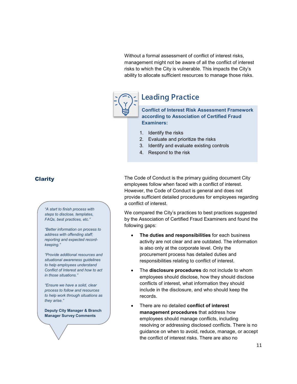Without a formal assessment of conflict of interest risks, management might not be aware of all the conflict of interest risks to which the City is vulnerable. This impacts the City's ability to allocate sufficient resources to manage those risks.



## **Leading Practice**

**Conflict of Interest Risk Assessment Framework according to Association of Certified Fraud Examiners:**

- 1. Identify the risks
- 2. Evaluate and prioritize the risks
- 3. Identify and evaluate existing controls
- 4. Respond to the risk

*"A start to finish process with steps to disclose, templates, FAQs, best practices, etc."*

*"Better information on process to address with offending staff; reporting and expected recordkeeping."*

*"Provide additional resources and situational awareness guidelines to help employees understand Conflict of Interest and how to act in those situations."*

*"Ensure we have a solid, clear process to follow and resources to help work through situations as they arise."*

**Deputy City Manager & Branch Manager Survey Comments**

**Clarity** Clarity The Code of Conduct is the primary guiding document City employees follow when faced with a conflict of interest. However, the Code of Conduct is general and does not provide sufficient detailed procedures for employees regarding a conflict of interest.

> We compared the City's practices to best practices suggested by the Association of Certified Fraud Examiners and found the following gaps:

- **The duties and responsibilities** for each business activity are not clear and are outdated. The information is also only at the corporate level. Only the procurement process has detailed duties and responsibilities relating to conflict of interest.
- The **disclosure procedures** do not include to whom employees should disclose, how they should disclose conflicts of interest, what information they should include in the disclosure, and who should keep the records.
- There are no detailed **conflict of interest management procedures** that address how employees should manage conflicts, including resolving or addressing disclosed conflicts. There is no guidance on when to avoid, reduce, manage, or accept the conflict of interest risks. There are also no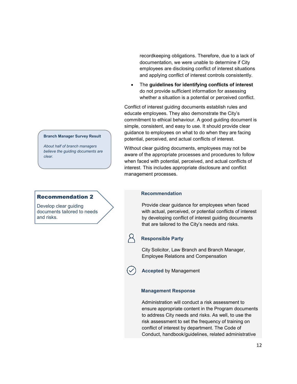### **Branch Manager Survey Result**

*About half of branch managers believe the guiding documents are clear.*

### Recommendation 2

Develop clear guiding documents tailored to needs and risks.

recordkeeping obligations. Therefore, due to a lack of documentation, we were unable to determine if City employees are disclosing conflict of interest situations and applying conflict of interest controls consistently.

• The **guidelines for identifying conflicts of interest** do not provide sufficient information for assessing whether a situation is a potential or perceived conflict.

Conflict of interest guiding documents establish rules and educate employees. They also demonstrate the City's commitment to ethical behaviour. A good guiding document is simple, consistent, and easy to use. It should provide clear guidance to employees on what to do when they are facing potential, perceived, and actual conflicts of interest.

Without clear guiding documents, employees may not be aware of the appropriate processes and procedures to follow when faced with potential, perceived, and actual conflicts of interest. This includes appropriate disclosure and conflict management processes.

### **Recommendation**

Provide clear guidance for employees when faced with actual, perceived, or potential conflicts of interest by developing conflict of interest guiding documents that are tailored to the City's needs and risks.

### **Responsible Party**

City Solicitor, Law Branch and Branch Manager, Employee Relations and Compensation

**Accepted** by Management

### **Management Response**

Administration will conduct a risk assessment to ensure appropriate content in the Program documents to address City needs and risks. As well, to use the risk assessment to set the frequency of training on conflict of interest by department. The Code of Conduct, handbook/guidelines, related administrative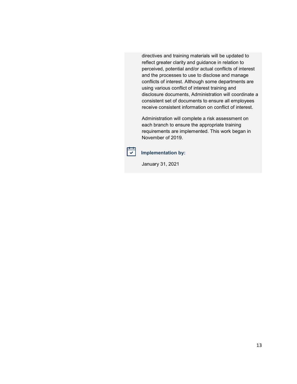directives and training materials will be updated to reflect greater clarity and guidance in relation to perceived, potential and/or actual conflicts of interest and the processes to use to disclose and manage conflicts of interest. Although some departments are using various conflict of interest training and disclosure documents, Administration will coordinate a consistent set of documents to ensure all employees receive consistent information on conflict of interest.

Administration will complete a risk assessment on each branch to ensure the appropriate training requirements are implemented. This work began in November of 2019.



## **Implementation by:**

January 31, 2021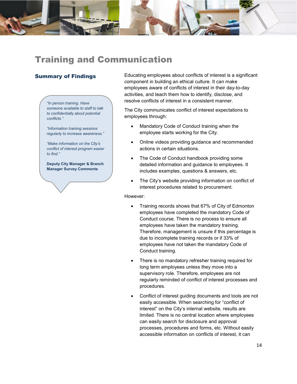

*"In person training. Have someone available to staff to talk to confidentially about potential conflicts."*

*"Information training sessions regularly to increase awareness."*

*"Make information on the City's conflict of interest program easier to find."*

**Deputy City Manager & Branch Manager Survey Comments**

**Summary of Findings** Educating employees about conflicts of interest is a significant component in building an ethical culture. It can make employees aware of conflicts of interest in their day-to-day activities, and teach them how to identify, disclose, and resolve conflicts of interest in a consistent manner.

> The City communicates conflict of interest expectations to employees through:

- Mandatory Code of Conduct training when the employee starts working for the City.
- Online videos providing guidance and recommended actions in certain situations.
- The Code of Conduct handbook providing some detailed information and guidance to employees. It includes examples, questions & answers, etc.
- The City's website providing information on conflict of interest procedures related to procurement.

However:

- Training records shows that 67% of City of Edmonton employees have completed the mandatory Code of Conduct course. There is no process to ensure all employees have taken the mandatory training. Therefore, management is unsure if this percentage is due to incomplete training records or if 33% of employees have not taken the mandatory Code of Conduct training.
- There is no mandatory refresher training required for long term employees unless they move into a supervisory role. Therefore, employees are not regularly reminded of conflict of interest processes and procedures.
- Conflict of interest guiding documents and tools are not easily accessible. When searching for "conflict of interest" on the City's internal website, results are limited. There is no central location where employees can easily search for disclosure and approval processes, procedures and forms, etc. Without easily accessible information on conflicts of interest, it can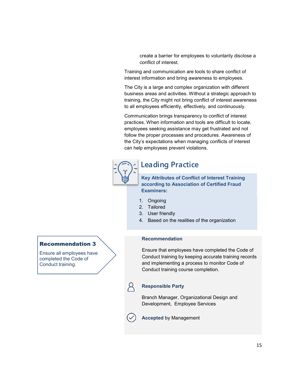create a barrier for employees to voluntarily disclose a conflict of interest.

Training and communication are tools to share conflict of interest information and bring awareness to employees.

The City is a large and complex organization with different business areas and activities. Without a strategic approach to training, the City might not bring conflict of interest awareness to all employees efficiently, effectively, and continuously.

Communication brings transparency to conflict of interest practices. When information and tools are difficult to locate, employees seeking assistance may get frustrated and not follow the proper processes and procedures. Awareness of the City's expectations when managing conflicts of interest can help employees prevent violations.



## **Leading Practice**

**Key Attributes of Conflict of Interest Training according to Association of Certified Fraud Examiners:**

- 1. Ongoing
- 2. Tailored
- 3. User friendly
- 4. Based on the realities of the organization

### **Recommendation**

Ensure that employees have completed the Code of Conduct training by keeping accurate training records and implementing a process to monitor Code of Conduct training course completion.

### **Responsible Party**

Branch Manager, Organizational Design and Development, Employee Services



**Accepted** by Management

## Recommendation 3

Ensure all employees have completed the Code of Conduct training.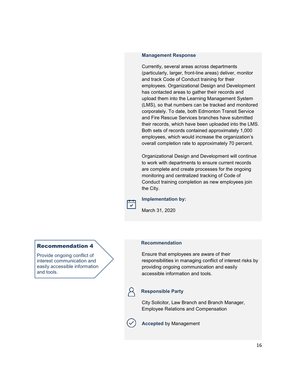### **Management Response**

Currently, several areas across departments (particularly, larger, front-line areas) deliver, monitor and track Code of Conduct training for their employees. Organizational Design and Development has contacted areas to gather their records and upload them into the Learning Management System (LMS), so that numbers can be tracked and monitored corporately. To date, both Edmonton Transit Service and Fire Rescue Services branches have submitted their records, which have been uploaded into the LMS. Both sets of records contained approximately 1,000 employees, which would increase the organization's overall completion rate to approximately 70 percent.

Organizational Design and Development will continue to work with departments to ensure current records are complete and create processes for the ongoing monitoring and centralized tracking of Code of Conduct training completion as new employees join the City.

### **Implementation by:**

March 31, 2020

### Recommendation 4

Provide ongoing conflict of interest communication and easily accessible information and tools.

### **Recommendation**

Ensure that employees are aware of their responsibilities in managing conflict of interest risks by providing ongoing communication and easily accessible information and tools.

 $\overline{\checkmark}$ 

### **Responsible Party**

City Solicitor, Law Branch and Branch Manager, Employee Relations and Compensation

**Accepted** by Management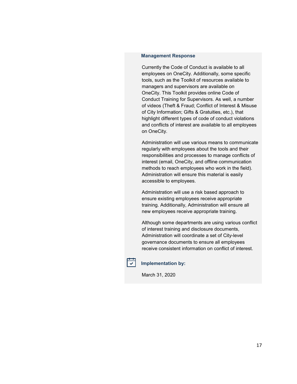### **Management Response**

Currently the Code of Conduct is available to all employees on OneCity. Additionally, some specific tools, such as the Toolkit of resources available to managers and supervisors are available on OneCity. This Toolkit provides online Code of Conduct Training for Supervisors. As well, a number of videos (Theft & Fraud; Conflict of Interest & Misuse of City Information; Gifts & Gratuities, etc.), that highlight different types of code of conduct violations and conflicts of interest are available to all employees on OneCity.

Administration will use various means to communicate regularly with employees about the tools and their responsibilities and processes to manage conflicts of interest (email, OneCity, and offline communication methods to reach employees who work in the field). Administration will ensure this material is easily accessible to employees.

Administration will use a risk based approach to ensure existing employees receive appropriate training. Additionally, Administration will ensure all new employees receive appropriate training.

Although some departments are using various conflict of interest training and disclosure documents, Administration will coordinate a set of City-level governance documents to ensure all employees receive consistent information on conflict of interest.



### **Implementation by:**

March 31, 2020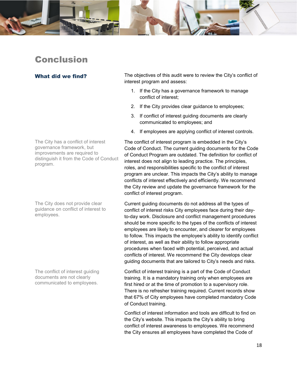

## Conclusion

The City has a conflict of interest governance framework, but improvements are required to distinguish it from the Code of Conduct program.

The City does not provide clear guidance on conflict of interest to employees.

The conflict of interest guiding documents are not clearly communicated to employees.

What did we find? The objectives of this audit were to review the City's conflict of interest program and assess:

- 1. If the City has a governance framework to manage conflict of interest;
- 2. If the City provides clear guidance to employees;
- 3. If conflict of interest guiding documents are clearly communicated to employees; and
- 4. If employees are applying conflict of interest controls.

The conflict of interest program is embedded in the City's Code of Conduct. The current guiding documents for the Code of Conduct Program are outdated. The definition for conflict of interest does not align to leading practice. The principles, roles, and responsibilities specific to the conflict of interest program are unclear. This impacts the City's ability to manage conflicts of interest effectively and efficiently. We recommend the City review and update the governance framework for the conflict of interest program.

Current guiding documents do not address all the types of conflict of interest risks City employees face during their dayto-day work. Disclosure and conflict management procedures should be more specific to the types of the conflicts of interest employees are likely to encounter, and clearer for employees to follow. This impacts the employee's ability to identify conflict of interest, as well as their ability to follow appropriate procedures when faced with potential, perceived, and actual conflicts of interest. We recommend the City develops clear guiding documents that are tailored to City's needs and risks.

Conflict of interest training is a part of the Code of Conduct training. It is a mandatory training only when employees are first hired or at the time of promotion to a supervisory role. There is no refresher training required. Current records show that 67% of City employees have completed mandatory Code of Conduct training.

Conflict of interest information and tools are difficult to find on the City's website. This impacts the City's ability to bring conflict of interest awareness to employees. We recommend the City ensures all employees have completed the Code of